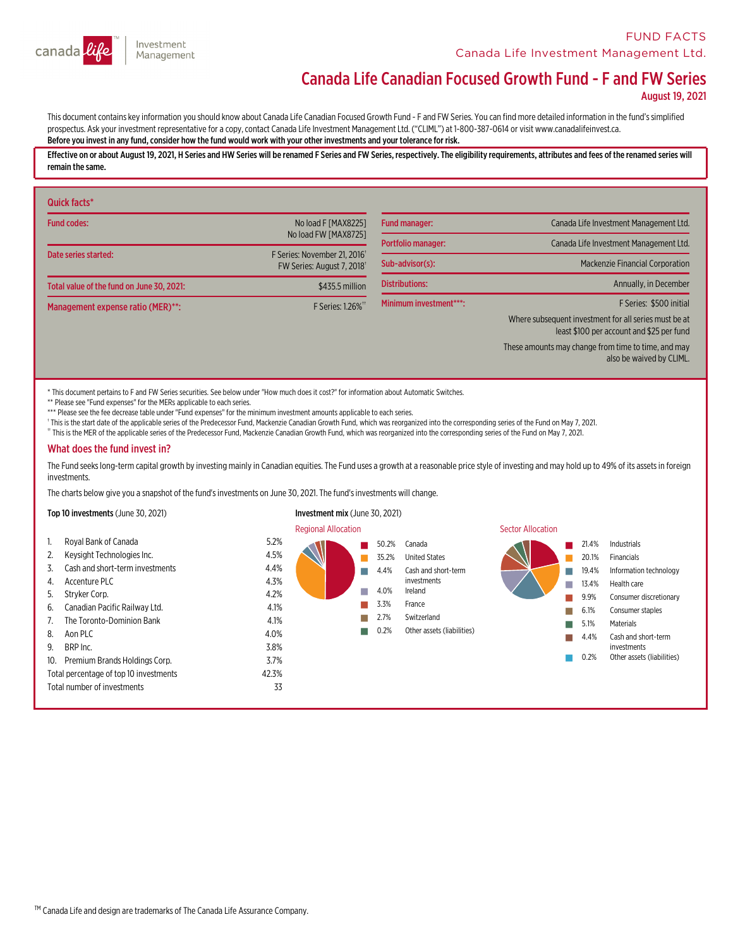

# Canada Life Canadian Focused Growth Fund - F and FW Series

August 19, 2021

This document contains key information you should know about Canada Life Canadian Focused Growth Fund - F and FW Series. You can find more detailed information in the fund's simplified<br>prospectus. Ask your investment repre Before you invest in any fund,consider how the fund would work with your other investments and your tolerance for risk.

Effective on or about August 19, 2021, H Series and HW Series will be renamed F Series and FW Series, respectively. The eligibility requirements, attributes and fees of the renamed series will remain the same.

| Quick facts*                              |                                                                       |                           |                                                                                                    |
|-------------------------------------------|-----------------------------------------------------------------------|---------------------------|----------------------------------------------------------------------------------------------------|
| <b>Fund codes:</b>                        | No load F [MAX8225]                                                   | <b>Fund manager:</b>      | Canada Life Investment Management Ltd.                                                             |
|                                           | No load FW [MAX8725]                                                  | <b>Portfolio manager:</b> | Canada Life Investment Management Ltd.                                                             |
| Date series started:                      | F Series: November 21, 2016 <sup>+</sup><br>FW Series: August 7, 2018 | Sub-advisor(s):           | <b>Mackenzie Financial Corporation</b>                                                             |
| Total value of the fund on June 30, 2021: | \$435.5 million                                                       | <b>Distributions:</b>     | Annually, in December                                                                              |
| Management expense ratio (MER)**:         | F Series: 1.26% <sup>**</sup>                                         | Minimum investment***:    | F Series: \$500 initial                                                                            |
|                                           |                                                                       |                           | Where subsequent investment for all series must be at<br>least \$100 per account and \$25 per fund |
|                                           |                                                                       |                           | These amounts may change from time to time, and may<br>also be waived by CLIML.                    |

\* This document pertains to F and FW Series securities. See below under "How much does it cost?" for information about Automatic Switches.

\*\* Please see "Fund expenses" for the MERs applicable to each series.

\*\*\* Please see the fee decrease table under "Fund expenses" for the minimum investment amounts applicable to each series.

<sup>1</sup> This is the start date of the applicable series of the Predecessor Fund, Mackenzie Canadian Growth Fund, which was reorganized into the corresponding series of the Fund on May 7, 2021.

†† This is the MER of the applicable series of the Predecessor Fund, Mackenzie Canadian Growth Fund, which was reorganized into the corresponding series of the Fund on May 7, 2021.

#### What does the fund invest in?

The Fund seeks long-term capital growth by investing mainly in Canadian equities. The Fund uses a growth at a reasonable price style of investing and may hold up to 49% of its assets in foreign investments.

The charts below give you a snapshot of the fund'sinvestments on June 30, 2021. The fund'sinvestments will change.

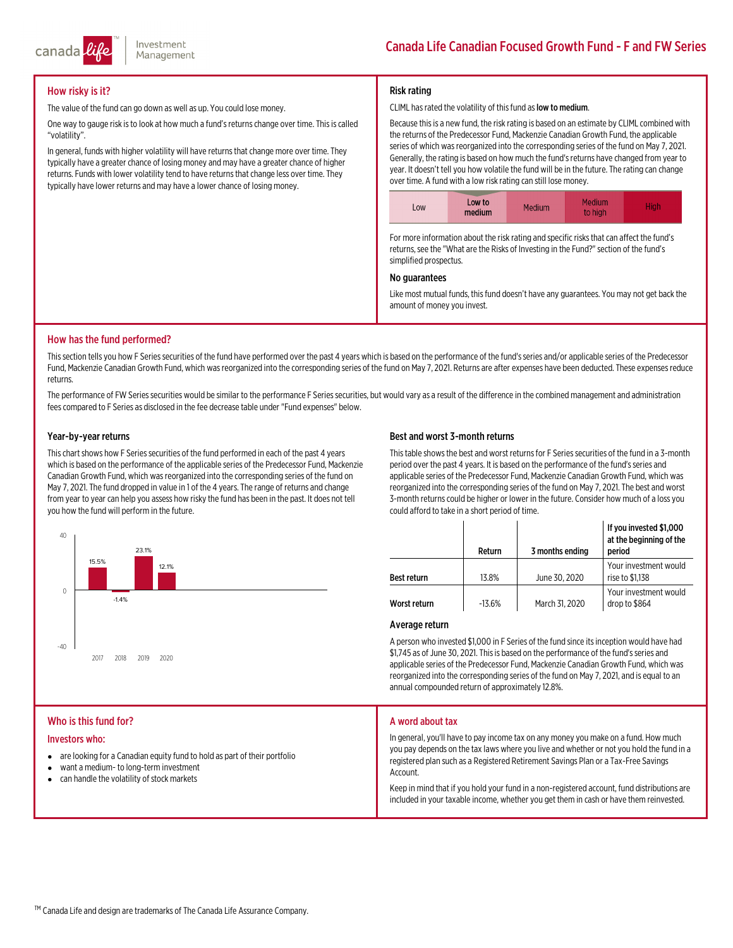

## How risky is it?

The value of the fund can go down as well as up. You could lose money.

One way to gauge risk is to look at how much a fund's returns change over time. This is called "volatility".

In general, funds with higher volatility will have returns that change more over time. They typically have a greater chance of losing money and may have a greater chance of higher returns. Funds with lower volatility tend to have returns that change less over time. They typically have lower returns and may have a lower chance of losing money.

## Risk rating

#### CLIML has rated the volatility of this fund as low to medium.

Because thisis a new fund, the risk rating is based on an estimate by CLIML combined with the returns of the Predecessor Fund, Mackenzie Canadian Growth Fund, the applicable series of which was reorganized into the corresponding series of the fund on May 7, 2021.<br>Generally, the rating is based on how much the fund's returns have changed from year to<br>year. It doesn't tell you how volatile the f



For more information about the risk rating and specific risks that can affect the fund's returns, see the "What are the Risks of Investing in the Fund?" section of the fund's simplified prospectus.

## No guarantees

Like most mutual funds, this fund doesn't have any guarantees. You may not get back the amount of money you invest.

## How has the fund performed?

This section tells you how F Series securities of the fund have performed over the past 4 years which is based on the performance of the fund's series and/or applicable series of the Predecessor<br>Fund, Mackenzie Canadian Gr returns.

The performance of FW Series securities would be similar to the performance F Series securities, but would vary as a result of the difference in the combined management and administration fees compared to F Series as disclosed in the fee decrease table under "Fund expenses" below.

## Year-by-year returns

This chart shows how F Series securities of the fund performed in each of the past 4 years<br>which is based on the performance of the applicable series of the Predecessor Fund, Mackenzie<br>Canadian Growth Fund, which was reorg from year to year can help you assess how risky the fund has been in the past. It does not tell you how the fund will perform in the future.



## Best and worst 3-month returns

This table shows the best and worst returns for F Series securities of the fund in a 3-month<br>period over the past 4 years. It is based on the performance of the fund's series and<br>applicable series of the Predecessor Fund, reorganized into the corresponding series of the fund on May 7, 2021. The best and worst 3-month returns could be higher or lower in the future. Consider how much of a loss you could afford to take in a short period of time.

|                    | Return   | 3 months ending | If you invested \$1,000<br>at the beginning of the<br>period |
|--------------------|----------|-----------------|--------------------------------------------------------------|
| <b>Best return</b> | 13.8%    | June 30, 2020   | Your investment would<br>rise to \$1,138                     |
| Worst return       | $-13.6%$ | March 31, 2020  | Your investment would<br>drop to \$864                       |

#### Average return

A person who invested \$1,000 in F Series of the fund since its inception would have had<br>\$1,745 as of June 30, 2021. This is based on the performance of the fund's series and<br>applicable series of the Predecessor Fund, Macke reorganized into the corresponding series of the fund on May 7, 2021, and is equal to an annual compounded return of approximately 12.8%.

## Who is this fund for?

#### Investors who:

- are looking for a Canadian equity fund to hold as part of their portfolio
- $\bullet$ want a medium- to long-terminvestment
- $\bullet$ can handle the volatility of stock markets

#### A word about tax

In general, you'll have to pay income tax on any money you make on <sup>a</sup> fund. How much you pay depends on the tax laws where you live and whether or not you hold the fund in <sup>a</sup> registered plan such as a Registered Retirement Savings Plan or a Tax-Free Savings<br>Account.

Keep in mind that if you hold your fund in a non-registered account, fund distributions are included in your taxable income, whether you get themin cash or have themreinvested.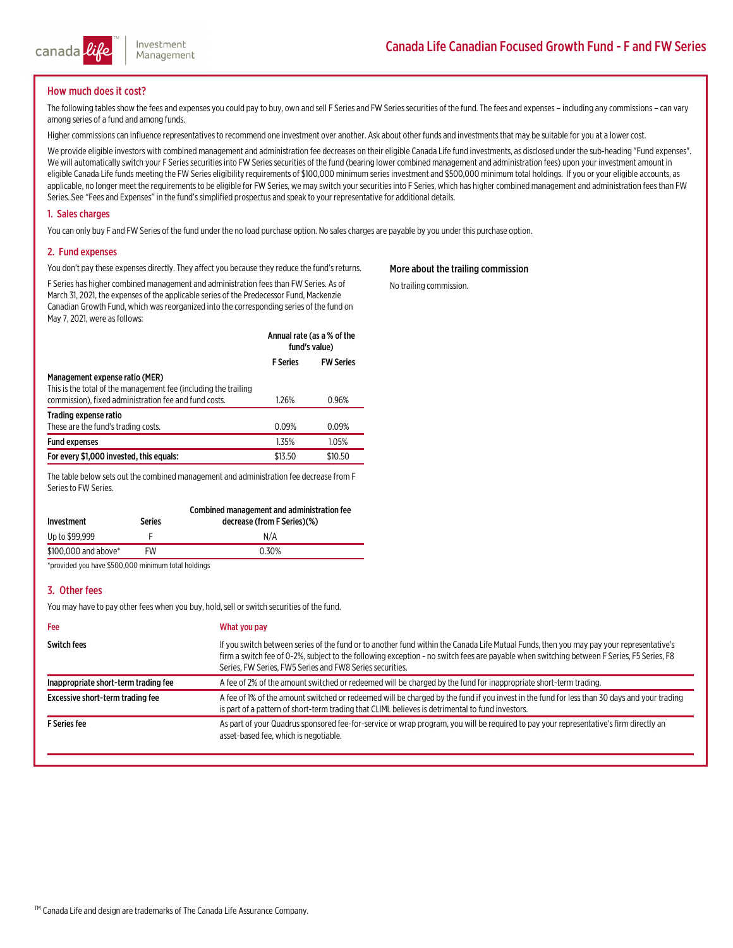

## How much does it cost?

The following tables show the fees and expenses you could pay to buy, own and sell F Series and FW Series securities of the fund. The fees and expenses - including any commissions - can vary<br>among series of a fund and amon

Higher commissions can influence representatives to recommend one investment over another. Ask about other funds and investments that may be suitable for you at a lower cost.

We provide eligible investors with combined management and administration fee decreases on their eligible Canada Life fund investments, as disclosed under the sub-heading "Fund expenses".<br>We will automatically switch your

## 1. Sales charges

You can only buy F and FW Series of the fund under the no load purchase option. No sales charges are payable by you under this purchase option.

## 2. Fund expenses

You don't pay these expenses directly. They affect you because they reduce the fund's returns.

F Series has higher combined management and administration fees than FW Series. As of March 31, 2021, the expenses of the applicable series of the Predecessor Fund, Mackenzie Canadian Growth Fund, which was reorganized int

|                                                                                                                                                            | Annual rate (as a % of the<br>fund's value) |                  |
|------------------------------------------------------------------------------------------------------------------------------------------------------------|---------------------------------------------|------------------|
|                                                                                                                                                            | <b>F</b> Series                             | <b>FW Series</b> |
| Management expense ratio (MER)<br>This is the total of the management fee (including the trailing<br>commission), fixed administration fee and fund costs. | 1.26%                                       | 0.96%            |
| Trading expense ratio<br>These are the fund's trading costs.                                                                                               | 0.09%                                       | 0.09%            |

Fund expenses 1.05% 1.05% For every \$1,000 invested, this equals:  $$13.50$  \$10.50

The table below sets out the combined management and administration fee decrease from F<br>Series to FW Series.

| Investment           | Series | Combined management and administration fee<br>decrease (from F Series)(%) |
|----------------------|--------|---------------------------------------------------------------------------|
| Up to \$99.999       |        | N/A                                                                       |
| \$100,000 and above* | FW     | 0.30%                                                                     |

\*provided you have \$500,000 minimum total holdings

## 3. Other fees

You may have to pay other fees when you buy, hold, sell or switch securities of the fund.

| Fee                                  | What you pay                                                                                                                                                                                                                                                                                                                                     |
|--------------------------------------|--------------------------------------------------------------------------------------------------------------------------------------------------------------------------------------------------------------------------------------------------------------------------------------------------------------------------------------------------|
| <b>Switch fees</b>                   | If you switch between series of the fund or to another fund within the Canada Life Mutual Funds, then you may pay your representative's<br>firm a switch fee of 0-2%, subject to the following exception - no switch fees are payable when switching between F Series, F5 Series, F8<br>Series, FW Series, FW5 Series and FW8 Series securities. |
| Inappropriate short-term trading fee | A fee of 2% of the amount switched or redeemed will be charged by the fund for inappropriate short-term trading.                                                                                                                                                                                                                                 |
| Excessive short-term trading fee     | A fee of 1% of the amount switched or redeemed will be charged by the fund if you invest in the fund for less than 30 days and your trading<br>is part of a pattern of short-term trading that CLIML believes is detrimental to fund investors.                                                                                                  |
| <b>F</b> Series fee                  | As part of your Quadrus sponsored fee-for-service or wrap program, you will be required to pay your representative's firm directly an<br>asset-based fee, which is negotiable.                                                                                                                                                                   |

## More about the trailing commission

No trailing commission.